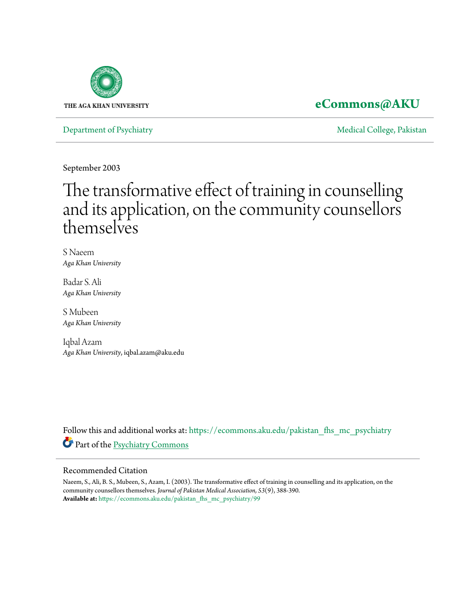

## **[eCommons@AKU](https://ecommons.aku.edu?utm_source=ecommons.aku.edu%2Fpakistan_fhs_mc_psychiatry%2F99&utm_medium=PDF&utm_campaign=PDFCoverPages)**

[Department of Psychiatry](https://ecommons.aku.edu/pakistan_fhs_mc_psychiatry?utm_source=ecommons.aku.edu%2Fpakistan_fhs_mc_psychiatry%2F99&utm_medium=PDF&utm_campaign=PDFCoverPages) and the College, Pakistan [Medical College, Pakistan](https://ecommons.aku.edu/pakistan_fhs_mc?utm_source=ecommons.aku.edu%2Fpakistan_fhs_mc_psychiatry%2F99&utm_medium=PDF&utm_campaign=PDFCoverPages) Medical College, Pakistan Medical College, Pakistan Medical College, Pakistan Medical College, Pakistan Medical College, Pakistan Medical College

September 2003

# The transformative effect of training in counselling and its application, on the community counsellors themselves

S Naeem *Aga Khan University*

Badar S. Ali *Aga Khan University*

S Mubeen *Aga Khan University*

Iqbal Azam *Aga Khan University*, iqbal.azam@aku.edu

Follow this and additional works at: [https://ecommons.aku.edu/pakistan\\_fhs\\_mc\\_psychiatry](https://ecommons.aku.edu/pakistan_fhs_mc_psychiatry?utm_source=ecommons.aku.edu%2Fpakistan_fhs_mc_psychiatry%2F99&utm_medium=PDF&utm_campaign=PDFCoverPages) Part of the [Psychiatry Commons](http://network.bepress.com/hgg/discipline/704?utm_source=ecommons.aku.edu%2Fpakistan_fhs_mc_psychiatry%2F99&utm_medium=PDF&utm_campaign=PDFCoverPages)

#### Recommended Citation

Naeem, S., Ali, B. S., Mubeen, S., Azam, I. (2003). The transformative effect of training in counselling and its application, on the community counsellors themselves. *Journal of Pakistan Medical Association, 53*(9), 388-390. **Available at:** [https://ecommons.aku.edu/pakistan\\_fhs\\_mc\\_psychiatry/99](https://ecommons.aku.edu/pakistan_fhs_mc_psychiatry/99)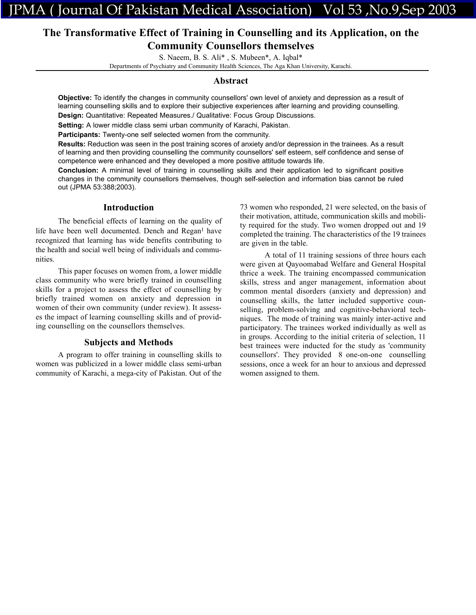## JPMA ( Journal Of Pakistan Medical Association) Vol 53 ,No.9,Sep 2003

### **The Transformative Effect of Training in Counselling and its Application, on the Community Counsellors themselves**

S. Naeem, B. S. Ali\* , S. Mubeen\*, A. Iqbal\* Departments of Psychiatry and Community Health Sciences, The Aga Khan University, Karachi.

#### **Abstract**

**Objective:** To identify the changes in community counsellors' own level of anxiety and depression as a result of learning counselling skills and to explore their subjective experiences after learning and providing counselling.

**Design:** Quantitative: Repeated Measures./ Qualitative: Focus Group Discussions.

**Setting:** A lower middle class semi urban community of Karachi, Pakistan.

**Participants:** Twenty-one self selected women from the community.

**Results:** Reduction was seen in the post training scores of anxiety and/or depression in the trainees. As a result of learning and then providing counselling the community counsellors' self esteem, self confidence and sense of competence were enhanced and they developed a more positive attitude towards life.

**Conclusion:** A minimal level of training in counselling skills and their application led to significant positive changes in the community counsellors themselves, though self-selection and information bias cannot be ruled out (JPMA 53:388;2003).

#### **Introduction**

The beneficial effects of learning on the quality of life have been well documented. Dench and Regan<sup>1</sup> have recognized that learning has wide benefits contributing to the health and social well being of individuals and communities.

This paper focuses on women from, a lower middle class community who were briefly trained in counselling skills for a project to assess the effect of counselling by briefly trained women on anxiety and depression in women of their own community (under review). It assesses the impact of learning counselling skills and of providing counselling on the counsellors themselves.

#### **Subjects and Methods**

A program to offer training in counselling skills to women was publicized in a lower middle class semi-urban community of Karachi, a mega-city of Pakistan. Out of the

73 women who responded, 21 were selected, on the basis of their motivation, attitude, communication skills and mobility required for the study. Two women dropped out and 19 completed the training. The characteristics of the 19 trainees are given in the table.

A total of 11 training sessions of three hours each were given at Qayoomabad Welfare and General Hospital thrice a week. The training encompassed communication skills, stress and anger management, information about common mental disorders (anxiety and depression) and counselling skills, the latter included supportive counselling, problem-solving and cognitive-behavioral techniques. The mode of training was mainly inter-active and participatory. The trainees worked individually as well as in groups. According to the initial criteria of selection, 11 best trainees were inducted for the study as 'community counsellors'. They provided 8 one-on-one counselling sessions, once a week for an hour to anxious and depressed women assigned to them.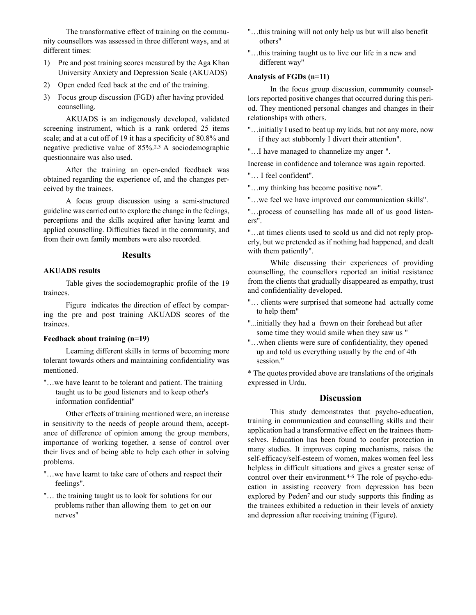The transformative effect of training on the community counsellors was assessed in three different ways, and at different times:

- 1) Pre and post training scores measured by the Aga Khan University Anxiety and Depression Scale (AKUADS)
- 2) Open ended feed back at the end of the training.
- 3) Focus group discussion (FGD) after having provided counselling.

AKUADS is an indigenously developed, validated screening instrument, which is a rank ordered 25 items scale; and at a cut off of 19 it has a specificity of 80.8% and negative predictive value of 85%.2,3 A sociodemographic questionnaire was also used.

After the training an open-ended feedback was obtained regarding the experience of, and the changes perceived by the trainees.

A focus group discussion using a semi-structured guideline was carried out to explore the change in the feelings, perceptions and the skills acquired after having learnt and applied counselling. Difficulties faced in the community, and from their own family members were also recorded.

#### **Results**

#### **AKUADS results**

Table gives the sociodemographic profile of the 19 trainees.

Figure indicates the direction of effect by comparing the pre and post training AKUADS scores of the trainees.

#### **Feedback about training (n=19)**

Learning different skills in terms of becoming more tolerant towards others and maintaining confidentiality was mentioned.

"…we have learnt to be tolerant and patient. The training taught us to be good listeners and to keep other's information confidential"

Other effects of training mentioned were, an increase in sensitivity to the needs of people around them, acceptance of difference of opinion among the group members, importance of working together, a sense of control over their lives and of being able to help each other in solving problems.

- "…we have learnt to take care of others and respect their feelings".
- "… the training taught us to look for solutions for our problems rather than allowing them to get on our nerves"
- "…this training will not only help us but will also benefit others"
- "…this training taught us to live our life in a new and different way"

#### **Analysis of FGDs (n=11)**

In the focus group discussion, community counsellors reported positive changes that occurred during this period. They mentioned personal changes and changes in their relationships with others.

- "…initially I used to beat up my kids, but not any more, now if they act stubbornly I divert their attention".
- "…I have managed to channelize my anger ".
- Increase in confidence and tolerance was again reported.
- "… I feel confident".
- "…my thinking has become positive now".
- "…we feel we have improved our communication skills".
- "…process of counselling has made all of us good listeners".

"…at times clients used to scold us and did not reply properly, but we pretended as if nothing had happened, and dealt with them patiently".

While discussing their experiences of providing counselling, the counsellors reported an initial resistance from the clients that gradually disappeared as empathy, trust and confidentiality developed.

- "… clients were surprised that someone had actually come to help them"
- "...initially they had a frown on their forehead but after some time they would smile when they saw us "
- "…when clients were sure of confidentiality, they opened up and told us everything usually by the end of 4th session."

\* The quotes provided above are translations of the originals expressed in Urdu.

#### **Discussion**

This study demonstrates that psycho-education, training in communication and counselling skills and their application had a transformative effect on the trainees themselves. Education has been found to confer protection in many studies. It improves coping mechanisms, raises the self-efficacy/self-esteem of women, makes women feel less helpless in difficult situations and gives a greater sense of control over their environment.4-6 The role of psycho-education in assisting recovery from depression has been explored by Peden7 and our study supports this finding as the trainees exhibited a reduction in their levels of anxiety and depression after receiving training (Figure).